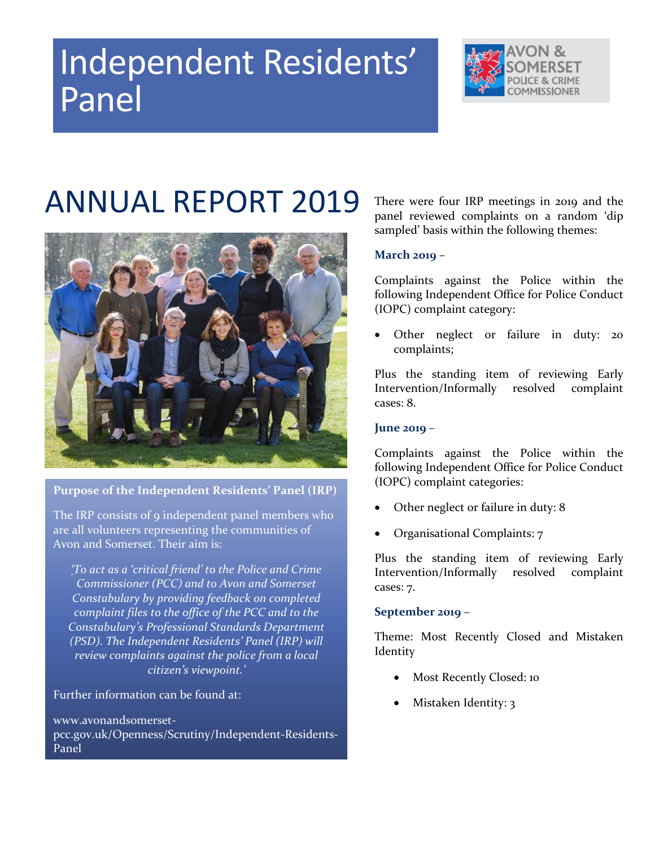# Independent Residents' Panel



## ANNUAL REPORT 2019



**Purpose of the Independent Residents' Panel (IRP)**

The IRP consists of 9 independent panel members who are all volunteers representing the communities of Avon and Somerset. Their aim is:

*'To act as a 'critical friend' to the Police and Crime Commissioner (PCC) and to Avon and Somerset Constabulary by providing feedback on completed complaint files to the office of the PCC and to the Constabulary's Professional Standards Department (PSD). The Independent Residents' Panel (IRP) will review complaints against the police from a local citizen's viewpoint.'*

Further information can be found at:

www.avonandsomersetpcc.gov.uk/Openness/Scrutiny/Independent-Residents-Panel

There were four IRP meetings in 2019 and the panel reviewed complaints on a random 'dip sampled' basis within the following themes:

### **March 2019** –

Complaints against the Police within the following Independent Office for Police Conduct (IOPC) complaint category:

 Other neglect or failure in duty: 20 complaints;

Plus the standing item of reviewing Early Intervention/Informally resolved complaint cases: 8.

### **June 2019 –**

Complaints against the Police within the following Independent Office for Police Conduct (IOPC) complaint categories:

- Other neglect or failure in duty: 8
- Organisational Complaints: 7

Plus the standing item of reviewing Early Intervention/Informally resolved complaint cases: 7.

### **September 2019 –**

Theme: Most Recently Closed and Mistaken Identity

- Most Recently Closed: 10
- Mistaken Identity: 3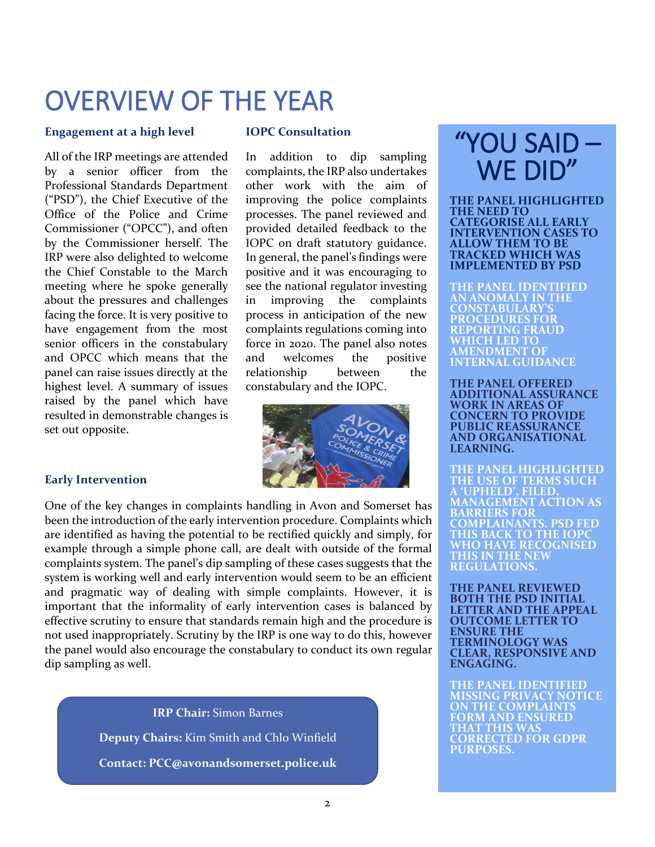### OVERVIEW OF THE YEAR

#### **Engagement at a high level**

All of the IRP meetings are attended by a senior officer from the Professional Standards Department ("PSD"), the Chief Executive of the Office of the Police and Crime Commissioner ("OPCC"), and often by the Commissioner herself. The IRP were also delighted to welcome the Chief Constable to the March meeting where he spoke generally about the pressures and challenges facing the force. It is very positive to have engagement from the most senior officers in the constabulary and OPCC which means that the panel can raise issues directly at the highest level. A summary of issues raised by the panel which have resulted in demonstrable changes is set out opposite.

#### **IOPC Consultation**

In addition to dip sampling complaints, the IRP also undertakes other work with the aim of improving the police complaints processes. The panel reviewed and provided detailed feedback to the IOPC on draft statutory guidance. In general, the panel's findings were positive and it was encouraging to see the national regulator investing in improving the complaints process in anticipation of the new complaints regulations coming into force in 2020. The panel also notes and welcomes the positive relationship between the constabulary and the IOPC.



#### **Early Intervention**

One of the key changes in complaints handling in Avon and Somerset has been the introduction of the early intervention procedure. Complaints which are identified as having the potential to be rectified quickly and simply, for example through a simple phone call, are dealt with outside of the formal complaints system. The panel's dip sampling of these cases suggests that the system is working well and early intervention would seem to be an efficient and pragmatic way of dealing with simple complaints. However, it is important that the informality of early intervention cases is balanced by effective scrutiny to ensure that standards remain high and the procedure is not used inappropriately. Scrutiny by the IRP is one way to do this, however the panel would also encourage the constabulary to conduct its own regular dip sampling as well.

> **IRP Chair:** Simon Barnes **Deputy Chairs:** Kim Smith and Chlo Winfield **Contact: PCC@avonandsomerset.police.uk**

### "YOU SAID – WE DID"

**THE PANEL HIGHLIGHTED THE NEED TO CATEGORISE ALL EARLY INTERVENTION CASES TO ALLOW THEM TO BE TRACKED WHICH WAS IMPLEMENTED BY PSD**

**THE PANEL IDENTIFIED AN ANOMALY IN THE CONSTABULARY'S PROCEDURES FOR REPORTING FRAUD WHICH LED TO AMENDMENT OF INTERNAL GUIDANCE**

**THE PANEL OFFERED ADDITIONAL ASSURANCE WORK IN AREAS OF CONCERN TO PROVIDE PUBLIC REASSURANCE AND ORGANISATIONAL LEARNING.**

**THE PANEL HIGHLIGHTED THE USE OF TERMS SUCH A 'UPHELD', FILED, MANAGEMENT ACTION AS BARRIERS FOR COMPLAINANTS. PSD FED THIS BACK TO THE IOPC WHO HAVE RECOGNISED THIS IN THE NEW REGULATIONS.** 

**THE PANEL REVIEWED BOTH THE PSD INITIAL LETTER AND THE APPEAL OUTCOME LETTER TO ENSURE THE TERMINOLOGY WAS CLEAR, RESPONSIVE AND ENGAGING.**

**THE PANEL IDENTIFIED MISSING PRIVACY NOTICE ON THE COMPLAINTS FORM AND ENSURED THAT THIS WAS CORRECTED FOR GDPR PURPOSES.**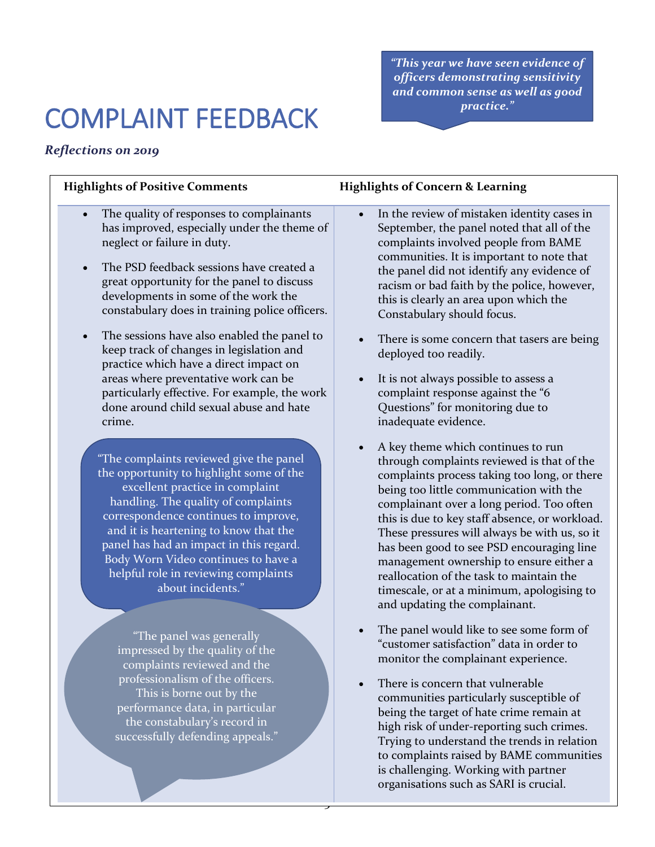*"This year we have seen evidence of officers demonstrating sensitivity and common sense as well as good practice."*

### COMPLAINT FEEDBACK

### *Reflections on 2019*

- The quality of responses to complainants has improved, especially under the theme of neglect or failure in duty.
- The PSD feedback sessions have created a great opportunity for the panel to discuss developments in some of the work the constabulary does in training police officers.
- The sessions have also enabled the panel to keep track of changes in legislation and practice which have a direct impact on areas where preventative work can be particularly effective. For example, the work done around child sexual abuse and hate crime.

"The complaints reviewed give the panel the opportunity to highlight some of the excellent practice in complaint handling. The quality of complaints correspondence continues to improve, and it is heartening to know that the panel has had an impact in this regard. Body Worn Video continues to have a helpful role in reviewing complaints about incidents."

"The panel was generally impressed by the quality of the complaints reviewed and the professionalism of the officers. This is borne out by the performance data, in particular the constabulary's record in successfully defending appeals."

3

#### **Highlights of Positive Comments Highlights of Concern & Learning**

- In the review of mistaken identity cases in September, the panel noted that all of the complaints involved people from BAME communities. It is important to note that the panel did not identify any evidence of racism or bad faith by the police, however, this is clearly an area upon which the Constabulary should focus.
- There is some concern that tasers are being deployed too readily.
- It is not always possible to assess a complaint response against the "6 Questions" for monitoring due to inadequate evidence.
- A key theme which continues to run through complaints reviewed is that of the complaints process taking too long, or there being too little communication with the complainant over a long period. Too often this is due to key staff absence, or workload. These pressures will always be with us, so it has been good to see PSD encouraging line management ownership to ensure either a reallocation of the task to maintain the timescale, or at a minimum, apologising to and updating the complainant.
- The panel would like to see some form of "customer satisfaction" data in order to monitor the complainant experience.
- There is concern that vulnerable communities particularly susceptible of being the target of hate crime remain at high risk of under-reporting such crimes. Trying to understand the trends in relation to complaints raised by BAME communities is challenging. Working with partner organisations such as SARI is crucial.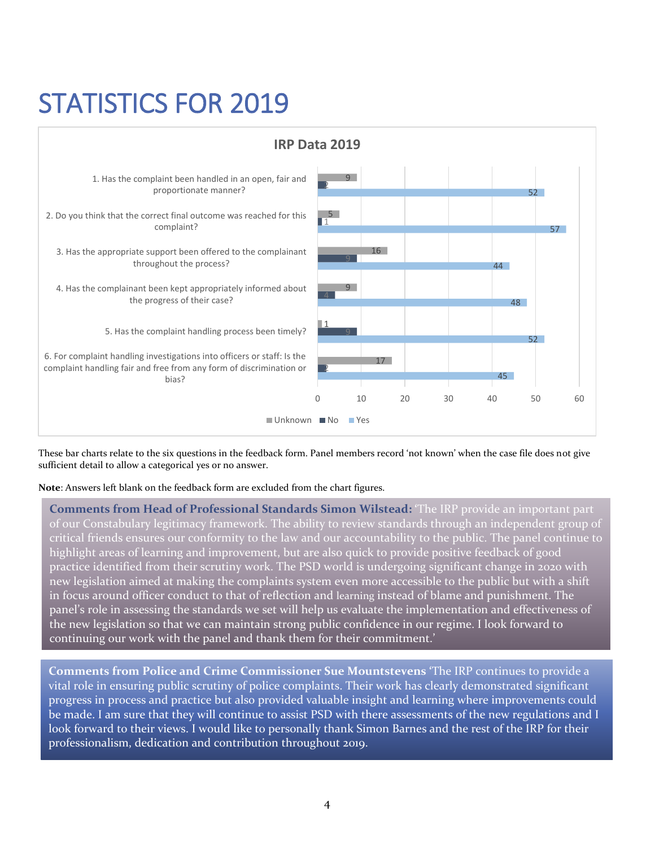### STATISTICS FOR 2019



These bar charts relate to the six questions in the feedback form. Panel members record 'not known' when the case file does not give sufficient detail to allow a categorical yes or no answer.

**Note**: Answers left blank on the feedback form are excluded from the chart figures.

**Comments from Head of Professional Standards Simon Wilstead: '**The IRP provide an important part of our Constabulary legitimacy framework. The ability to review standards through an independent group of critical friends ensures our conformity to the law and our accountability to the public. The panel continue to highlight areas of learning and improvement, but are also quick to provide positive feedback of good practice identified from their scrutiny work. The PSD world is undergoing significant change in 2020 with new legislation aimed at making the complaints system even more accessible to the public but with a shift in focus around officer conduct to that of reflection and learning instead of blame and punishment. The panel's role in assessing the standards we set will help us evaluate the implementation and effectiveness of the new legislation so that we can maintain strong public confidence in our regime. I look forward to continuing our work with the panel and thank them for their commitment.'

**Comments from Police and Crime Commissioner Sue Mountstevens '**The IRP continues to provide a vital role in ensuring public scrutiny of police complaints. Their work has clearly demonstrated significant progress in process and practice but also provided valuable insight and learning where improvements could be made. I am sure that they will continue to assist PSD with there assessments of the new regulations and I look forward to their views. I would like to personally thank Simon Barnes and the rest of the IRP for their professionalism, dedication and contribution throughout 2019.